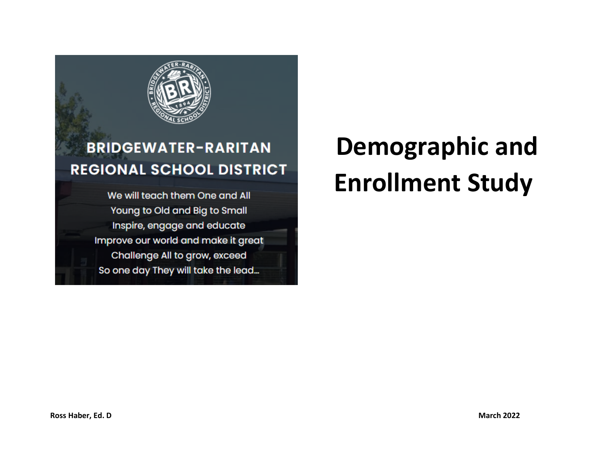

## **BRIDGEWATER-RARITAN REGIONAL SCHOOL DISTRICT**

We will teach them One and All Young to Old and Big to Small Inspire, engage and educate Improve our world and make it great Challenge All to grow, exceed So one day They will take the lead...

# **Demographic and Enrollment Study**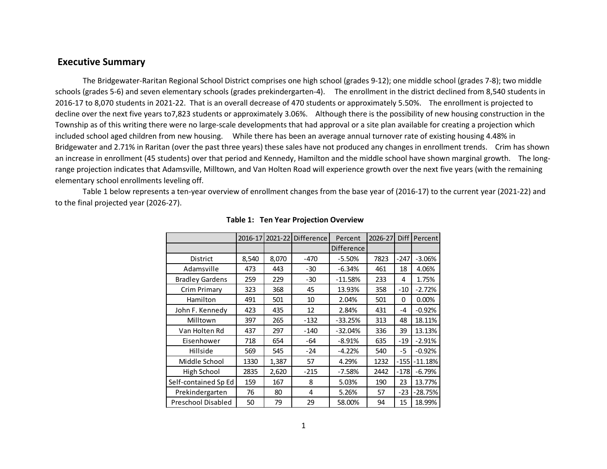### **Executive Summary**

The Bridgewater-Raritan Regional School District comprises one high school (grades 9-12); one middle school (grades 7-8); two middle schools (grades 5-6) and seven elementary schools (grades prekindergarten-4). The enrollment in the district declined from 8,540 students in 2016-17 to 8,070 students in 2021-22. That is an overall decrease of 470 students or approximately 5.50%. The enrollment is projected to decline over the next five years to7,823 students or approximately 3.06%. Although there is the possibility of new housing construction in the Township as of this writing there were no large-scale developments that had approval or a site plan available for creating a projection which included school aged children from new housing. While there has been an average annual turnover rate of existing housing 4.48% in Bridgewater and 2.71% in Raritan (over the past three years) these sales have not produced any changes in enrollment trends. Crim has shown an increase in enrollment (45 students) over that period and Kennedy, Hamilton and the middle school have shown marginal growth. The longrange projection indicates that Adamsville, Milltown, and Van Holten Road will experience growth over the next five years (with the remaining elementary school enrollments leveling off.

Table 1 below represents a ten-year overview of enrollment changes from the base year of (2016-17) to the current year (2021-22) and to the final projected year (2026-27).

|                        | 2016-17 | 2021-22 | <b>Difference</b> | Percent    | 2026-27 | <b>Diff</b> | Percent   |
|------------------------|---------|---------|-------------------|------------|---------|-------------|-----------|
|                        |         |         |                   | Difference |         |             |           |
| District               | 8,540   | 8,070   | -470              | $-5.50%$   | 7823    | $-247$      | $-3.06%$  |
| Adamsville             | 473     | 443     | $-30$             | $-6.34%$   | 461     | 18          | 4.06%     |
| <b>Bradley Gardens</b> | 259     | 229     | $-30$             | $-11.58%$  | 233     | 4           | 1.75%     |
| Crim Primary           | 323     | 368     | 45                | 13.93%     | 358     | $-10$       | $-2.72%$  |
| Hamilton               | 491     | 501     | 10                | 2.04%      | 501     | 0           | 0.00%     |
| John F. Kennedy        | 423     | 435     | 12                | 2.84%      | 431     | -4          | $-0.92%$  |
| Milltown               | 397     | 265     | $-132$            | $-33.25%$  | 313     | 48          | 18.11%    |
| Van Holten Rd          | 437     | 297     | $-140$            | $-32.04%$  | 336     | 39          | 13.13%    |
| Eisenhower             | 718     | 654     | -64               | $-8.91%$   | 635     | $-19$       | $-2.91%$  |
| Hillside               | 569     | 545     | $-24$             | $-4.22%$   | 540     | $-5$        | $-0.92%$  |
| Middle School          | 1330    | 1,387   | 57                | 4.29%      | 1232    | $-155$      | $-11.18%$ |
| High School            | 2835    | 2,620   | $-215$            | $-7.58%$   | 2442    | $-178$      | $-6.79%$  |
| Self-contained Sp Ed   | 159     | 167     | 8                 | 5.03%      | 190     | 23          | 13.77%    |
| Prekindergarten        | 76      | 80      | 4                 | 5.26%      | 57      | $-23$       | $-28.75%$ |
| Preschool Disabled     | 50      | 79      | 29                | 58.00%     | 94      | 15          | 18.99%    |

### **Table 1: Ten Year Projection Overview**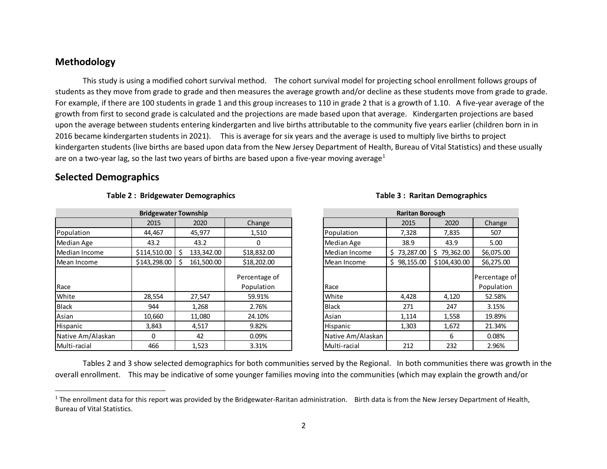### <span id="page-2-0"></span>**Methodology**

This study is using a modified cohort survival method. The cohort survival model for projecting school enrollment follows groups of students as they move from grade to grade and then measures the average growth and/or decline as these students move from grade to grade. For example, if there are 100 students in grade 1 and this group increases to 110 in grade 2 that is a growth of 1.10. A five-year average of the growth from first to second grade is calculated and the projections are made based upon that average. Kindergarten projections are based upon the average between students entering kindergarten and live births attributable to the community five years earlier (children born in in 2016 became kindergarten students in 2021). This is average for six years and the average is used to multiply live births to project kindergarten students (live births are based upon data from the New Jersey Department of Health, Bureau of Vital Statistics) and these usually are on a two-year lag, so the last two years of births are based upon a five-year moving average<sup>[1](#page-2-0)</sup>

### **Selected Demographics**

|                   | <b>Bridgewater Township</b> |            |                             |                   | <b>Raritan Borough</b> |                |                          |
|-------------------|-----------------------------|------------|-----------------------------|-------------------|------------------------|----------------|--------------------------|
|                   | 2015                        | 2020       | Change                      |                   | 2015                   | 2020           | Change                   |
| Population        | 44,467                      | 45,977     | 1,510                       | Population        | 7,328                  | 7,835          | 507                      |
| Median Age        | 43.2                        | 43.2       | 0                           | Median Age        | 38.9                   | 43.9           | 5.00                     |
| Median Income     | $$114,510.00$ \ \$          | 133,342.00 | \$18,832.00                 | Median Income     | \$73,287.00            | 79,362.00<br>Ś | \$6,075.00               |
| IMean Income      | \$143,298.00                | 161,500.00 | \$18,202.00                 | Mean Income       | \$98,155.00            | \$104,430.00   | \$6,275.00               |
| Race              |                             |            | Percentage of<br>Population | Race              |                        |                | Percentage<br>Population |
| White             | 28,554                      | 27,547     | 59.91%                      | White             | 4,428                  | 4,120          | 52.58%                   |
| Black             | 944                         | 1,268      | 2.76%                       | <b>Black</b>      | 271                    | 247            | 3.15%                    |
| Asian             | 10,660                      | 11,080     | 24.10%                      | Asian             | 1,114                  | 1,558          | 19.89%                   |
| Hispanic          | 3,843                       | 4,517      | 9.82%                       | Hispanic          | 1,303                  | 1,672          | 21.34%                   |
| Native Am/Alaskan | $\Omega$                    | 42         | 0.09%                       | Native Am/Alaskan |                        | 6              | 0.08%                    |
| Multi-racial      | 466                         | 1,523      | 3.31%                       | Multi-racial      | 212                    | 232            | 2.96%                    |

### **Table 2 : Bridgewater Demographics Table 3 : Raritan Demographics**

# 2015 | 2020 | Change | | | 2015 | 2020 | Change Median Income  $\frac{1}{5}$  73,287.00  $\frac{1}{5}$  79,362.00  $\frac{1}{5}$  \$6,075.00 Race Percentage of Population Native Am/Alaskan **Native Am/Alaskan** Native Am/Alaskan **Native American American American Constant Raritan Borough**

Tables 2 and 3 show selected demographics for both communities served by the Regional. In both communities there was growth in the overall enrollment. This may be indicative of some younger families moving into the communities (which may explain the growth and/or

 $1$  The enrollment data for this report was provided by the Bridgewater-Raritan administration. Birth data is from the New Jersey Department of Health, Bureau of Vital Statistics.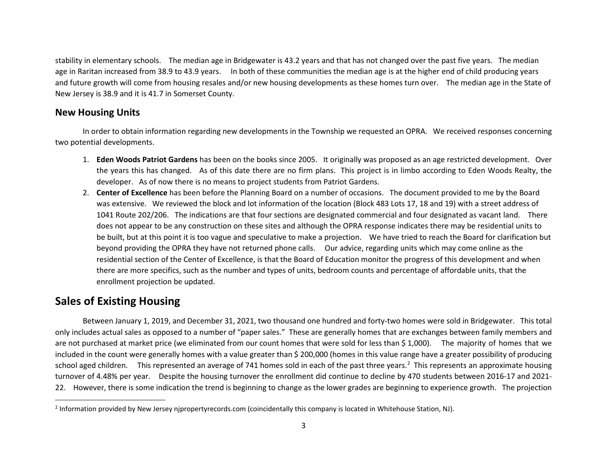<span id="page-3-0"></span>stability in elementary schools. The median age in Bridgewater is 43.2 years and that has not changed over the past five years. The median age in Raritan increased from 38.9 to 43.9 years. In both of these communities the median age is at the higher end of child producing years and future growth will come from housing resales and/or new housing developments as these homes turn over. The median age in the State of New Jersey is 38.9 and it is 41.7 in Somerset County.

### **New Housing Units**

In order to obtain information regarding new developments in the Township we requested an OPRA. We received responses concerning two potential developments.

- 1. **Eden Woods Patriot Gardens** has been on the books since 2005. It originally was proposed as an age restricted development. Over the years this has changed. As of this date there are no firm plans. This project is in limbo according to Eden Woods Realty, the developer. As of now there is no means to project students from Patriot Gardens.
- 2. **Center of Excellence** has been before the Planning Board on a number of occasions. The document provided to me by the Board was extensive. We reviewed the block and lot information of the location (Block 483 Lots 17, 18 and 19) with a street address of 1041 Route 202/206. The indications are that four sections are designated commercial and four designated as vacant land. There does not appear to be any construction on these sites and although the OPRA response indicates there may be residential units to be built, but at this point it is too vague and speculative to make a projection. We have tried to reach the Board for clarification but beyond providing the OPRA they have not returned phone calls. Our advice, regarding units which may come online as the residential section of the Center of Excellence, is that the Board of Education monitor the progress of this development and when there are more specifics, such as the number and types of units, bedroom counts and percentage of affordable units, that the enrollment projection be updated.

### **Sales of Existing Housing**

Between January 1, 2019, and December 31, 2021, two thousand one hundred and forty-two homes were sold in Bridgewater. This total only includes actual sales as opposed to a number of "paper sales." These are generally homes that are exchanges between family members and are not purchased at market price (we eliminated from our count homes that were sold for less than \$ 1,000). The majority of homes that we included in the count were generally homes with a value greater than \$ 200,000 (homes in this value range have a greater possibility of producing school aged children. This represented an average of 741 homes sold in each of the past three years.<sup>[2](#page-3-0)</sup> This represents an approximate housing turnover of 4.48% per year. Despite the housing turnover the enrollment did continue to decline by 470 students between 2016-17 and 2021- 22. However, there is some indication the trend is beginning to change as the lower grades are beginning to experience growth. The projection

<sup>2</sup> Information provided by New Jersey njpropertyrecords.com (coincidentally this company is located in Whitehouse Station, NJ).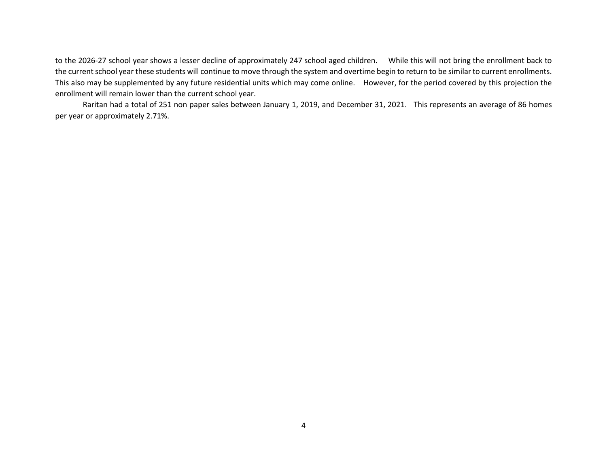to the 2026-27 school year shows a lesser decline of approximately 247 school aged children. While this will not bring the enrollment back to the current school year these students will continue to move through the system and overtime begin to return to be similar to current enrollments. This also may be supplemented by any future residential units which may come online. However, for the period covered by this projection the enrollment will remain lower than the current school year.

Raritan had a total of 251 non paper sales between January 1, 2019, and December 31, 2021. This represents an average of 86 homes per year or approximately 2.71%.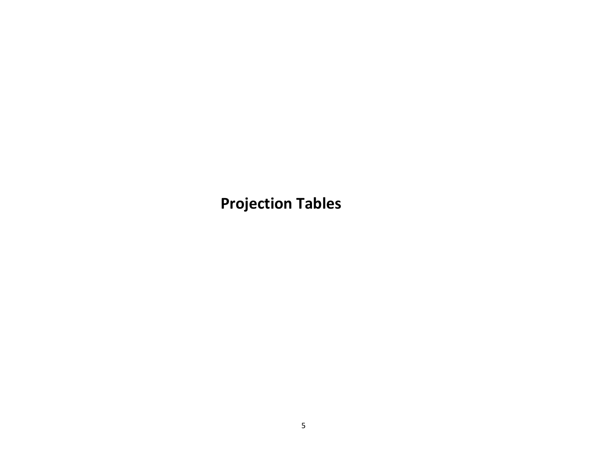**Projection Tables**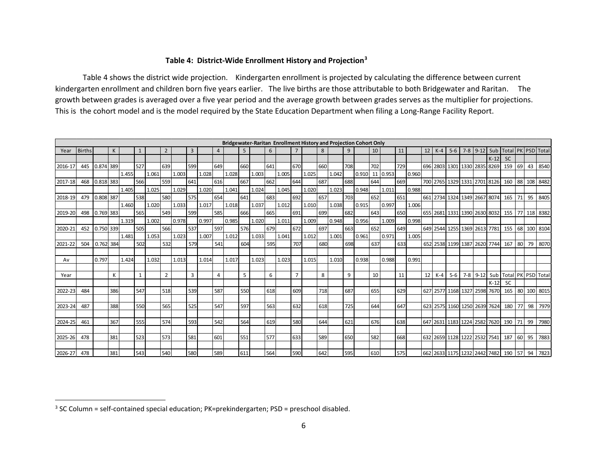### <span id="page-6-0"></span>**Table 4: District-Wide Enrollment History and Projection[3](#page-6-0)**

Table 4 shows the district wide projection. Kindergarten enrollment is projected by calculating the difference between current kindergarten enrollment and children born five years earlier. The live births are those attributable to both Bridgewater and Raritan. The growth between grades is averaged over a five year period and the average growth between grades serves as the multiplier for projections. This is the cohort model and is the model required by the State Education Department when filing a Long-Range Facility Report.

|         |               |             |              |       |              |       |                |       |                |       |                |       |     |       |     |       |                |       |     | Bridgewater-Raritan Enrollment History and Projection Cohort Only |     |       |     |          |     |       |    |          |       |                              |        |           |    |    |              |
|---------|---------------|-------------|--------------|-------|--------------|-------|----------------|-------|----------------|-------|----------------|-------|-----|-------|-----|-------|----------------|-------|-----|-------------------------------------------------------------------|-----|-------|-----|----------|-----|-------|----|----------|-------|------------------------------|--------|-----------|----|----|--------------|
| Year    | <b>Births</b> |             | $\mathsf{K}$ |       | $\mathbf{1}$ |       | $\overline{2}$ |       | $\overline{3}$ |       | $\overline{4}$ |       | 5   |       | 6   |       |                |       | 8   |                                                                   | 9   |       | 10  |          | 11  |       | 12 | $K-4$    | $5-6$ | $7-8$ 9-12                   | Sub    | Total     |    |    | PK PSD Total |
|         |               |             |              |       |              |       |                |       |                |       |                |       |     |       |     |       |                |       |     |                                                                   |     |       |     |          |     |       |    |          |       |                              | $K-12$ | <b>SC</b> |    |    |              |
| 2016-17 | 445           | $0.874$ 389 |              |       | 527          |       | 639            |       | 599            |       | 649            |       | 660 |       | 641 |       | 670            |       | 660 |                                                                   | 708 |       | 702 |          | 729 |       |    | 696 2803 | 1301  | 1330 2835 8269               |        | 159       | 69 | 43 | 8540         |
|         |               |             |              | 1.455 |              | 1.061 |                | 1.003 |                | 1.028 |                | 1.028 |     | 1.003 |     | 1.005 |                | 1.025 |     | 1.042                                                             |     | 0.910 |     | 11 0.953 |     | 0.960 |    |          |       |                              |        |           |    |    |              |
| 2017-18 | 468           | $0.818$ 383 |              |       | 566          |       | 559            |       | 641            |       | 616            |       | 667 |       | 662 |       | 644            |       | 687 |                                                                   | 688 |       | 644 |          | 669 |       |    |          |       | 700 2765 1329 1331 2701 8126 |        | 160       | 88 |    | 108 8482     |
|         |               |             |              | 1.405 |              | 1.025 |                | 1.029 |                | 1.020 |                | 1.041 |     | 1.024 |     | 1.045 |                | 1.020 |     | 1.023                                                             |     | 0.948 |     | 1.011    |     | 0.988 |    |          |       |                              |        |           |    |    |              |
| 2018-19 | 479           | 0.808 387   |              |       | 538          |       | 580            |       | 575            |       | 654            |       | 641 |       | 683 |       | 692            |       | 657 |                                                                   | 703 |       | 652 |          | 651 |       |    |          |       | 661 2734 1324 1349 2667 8074 |        | 165       | 71 | 95 | 8405         |
|         |               |             |              | 1.460 |              | 1.020 |                | 1.033 |                | 1.017 |                | 1.018 |     | 1.037 |     | 1.012 |                | 1.010 |     | 1.038                                                             |     | 0.915 |     | 0.997    |     | 1.006 |    |          |       |                              |        |           |    |    |              |
| 2019-20 | 498           | $0.769$ 383 |              |       | 565          |       | 549            |       | 599            |       | 585            |       | 666 |       | 665 |       | 691            |       | 699 |                                                                   | 682 |       | 643 |          | 650 |       |    |          |       | 655 2681 1331 1390 2630 8032 |        | 155       | 77 |    | 118 8382     |
|         |               |             |              | 1.319 |              | 1.002 |                | 0.978 |                | 0.997 |                | 0.985 |     | 1.020 |     | 1.011 |                | 1.009 |     | 0.948                                                             |     | 0.956 |     | 1.009    |     | 0.998 |    |          |       |                              |        |           |    |    |              |
| 2020-2: | 452           | 0.750 339   |              |       | 505          |       | 566            |       | 537            |       | 597            |       | 576 |       | 679 |       | 672            |       | 697 |                                                                   | 663 |       | 652 |          | 649 |       |    |          |       | 649 2544 1255 1369 2613      | 7781   | 155       | 68 |    | 100 8104     |
|         |               |             |              | 1.481 |              | 1.053 |                | 1.023 |                | 1.007 |                | 1.012 |     | 1.033 |     | 1.041 |                | 1.012 |     | 1.001                                                             |     | 0.961 |     | 0.971    |     | 1.005 |    |          |       |                              |        |           |    |    |              |
| 2021-22 | 504           | 0.762 384   |              |       | 502          |       | 532            |       | 579            |       | 541            |       | 604 |       | 595 |       | 707            |       | 680 |                                                                   | 698 |       | 637 |          | 633 |       |    |          |       | 652 2538 1199 1387 2620 7744 |        | 167       | 80 | 79 | 8070         |
|         |               |             |              |       |              |       |                |       |                |       |                |       |     |       |     |       |                |       |     |                                                                   |     |       |     |          |     |       |    |          |       |                              |        |           |    |    |              |
| Av      |               | 0.797       |              | 1.424 |              | 1.032 |                | 1.013 |                | 1.014 |                | 1.017 |     | 1.023 |     | 1.023 |                | 1.015 |     | 1.010                                                             |     | 0.938 |     | 0.988    |     | 0.991 |    |          |       |                              |        |           |    |    |              |
|         |               |             |              |       |              |       |                |       |                |       |                |       |     |       |     |       |                |       |     |                                                                   |     |       |     |          |     |       |    |          |       |                              |        |           |    |    |              |
| Year    |               |             | К            |       | $\mathbf{1}$ |       | $\overline{2}$ |       | 3              |       | $\overline{a}$ |       | 5   |       | 6   |       | $\overline{7}$ |       | 8   |                                                                   | 9   |       | 10  |          | 11  |       | 12 | $K-4$    | $5-6$ | $7 - 8$ 9-12                 | Sub    | Total PK  |    |    | PSD Total    |
|         |               |             |              |       |              |       |                |       |                |       |                |       |     |       |     |       |                |       |     |                                                                   |     |       |     |          |     |       |    |          |       |                              | $K-12$ | <b>SC</b> |    |    |              |
| 2022-23 | 484           |             | 386          |       | 547          |       | 518            |       | 539            |       | 587            |       | 550 |       | 618 |       | 609            |       | 718 |                                                                   | 687 |       | 655 |          | 629 |       |    |          |       | 627 2577 1168 1327 2598      | 7670   | 165       |    |    | 80 100 8015  |
|         |               |             |              |       |              |       |                |       |                |       |                |       |     |       |     |       |                |       |     |                                                                   |     |       |     |          |     |       |    |          |       |                              |        |           |    |    |              |
| 2023-24 | 487           |             | 388          |       | 550          |       | 565            |       | 525            |       | 547            |       | 597 |       | 563 |       | 632            |       | 618 |                                                                   | 725 |       | 644 |          | 647 |       |    |          |       | 623 2575 1160 1250 2639      | 7624   | 180       | 77 | 98 | 7979         |
|         |               |             |              |       |              |       |                |       |                |       |                |       |     |       |     |       |                |       |     |                                                                   |     |       |     |          |     |       |    |          |       |                              |        |           |    |    |              |
| 2024-25 | 461           |             | 367          |       | 555          |       | 574            |       | 593            |       | 542            |       | 564 |       | 619 |       | 580            |       | 644 |                                                                   | 621 |       | 676 |          | 638 |       |    |          |       | 647 2631 1183 1224 2582 7620 |        | 190       | 71 | 99 | 7980         |
|         |               |             |              |       |              |       |                |       |                |       |                |       |     |       |     |       |                |       |     |                                                                   |     |       |     |          |     |       |    |          |       |                              |        |           |    |    |              |
| 2025-26 | 478           |             | 381          |       | 523          |       | 573            |       | 581            |       | 601            |       | 551 |       | 577 |       | 633            |       | 589 |                                                                   | 650 |       | 582 |          | 668 |       |    |          |       | 632 2659 1128 1222 2532 7541 |        | 187       | 60 | 95 | 7883         |
|         |               |             |              |       |              |       |                |       |                |       |                |       |     |       |     |       |                |       |     |                                                                   |     |       |     |          |     |       |    |          |       |                              |        |           |    |    |              |
| 2026-27 | 478           |             | 381          |       | 543          |       | 540            |       | 580            |       | 589            |       | 611 |       | 564 |       | 590            |       | 642 |                                                                   | 595 |       | 610 |          | 575 |       |    |          |       | 662 2633 1175 1232 2442 7482 |        | 190       | 57 | 94 | 7823         |

 $3$  SC Column = self-contained special education; PK=prekindergarten; PSD = preschool disabled.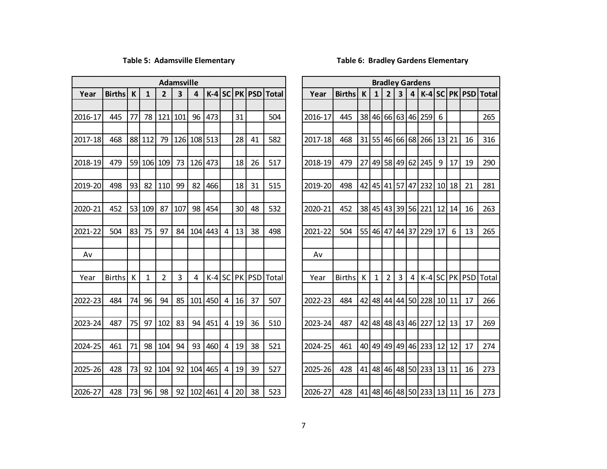### **Table 5: Adamsville Elementary Table 6: Bradley Gardens Elementary**

|         |               |    |     |                | <b>Adamsville</b> |     |         |                |    |        |                     |         |               |    |    |    |    |                | <b>Bradley Gardens</b> |                 |    |                 |              |
|---------|---------------|----|-----|----------------|-------------------|-----|---------|----------------|----|--------|---------------------|---------|---------------|----|----|----|----|----------------|------------------------|-----------------|----|-----------------|--------------|
| Year    | <b>Births</b> | K  | 1   | $\overline{2}$ | 3                 | 4   | $K-4$   | SC             |    |        | <b>PK PSD</b> Total | Year    | <b>Births</b> | K  | 1  |    | 3  | $\overline{4}$ |                        |                 |    | $K-4$ SC PK PSD | <b>Total</b> |
|         |               |    |     |                |                   |     |         |                |    |        |                     |         |               |    |    |    |    |                |                        |                 |    |                 |              |
| 2016-17 | 445           | 77 | 78  | 121            | 101               | 96  | 473     |                | 31 |        | 504                 | 2016-17 | 445           | 38 | 46 |    |    |                | 66 63 46 259           | 6               |    |                 | 265          |
|         |               |    |     |                |                   |     |         |                |    |        |                     |         |               |    |    |    |    |                |                        |                 |    |                 |              |
| 2017-18 | 468           | 88 | 112 | 79             | 126               | 108 | 513     |                | 28 | 41     | 582                 | 2017-18 | 468           | 31 | 55 | 46 |    | 66 68          | 266                    | 13              | 21 | 16              | 316          |
|         |               |    |     |                |                   |     |         |                |    |        |                     |         |               |    |    |    |    |                |                        |                 |    |                 |              |
| 2018-19 | 479           | 59 | 106 | 109            | 73                | 126 | 473     |                | 18 | 26     | 517                 | 2018-19 | 479           | 27 | 49 | 58 |    |                | 49 62 245              | 9               | 17 | 19              | 290          |
|         |               |    |     |                |                   |     |         |                |    |        |                     |         |               |    |    |    |    |                |                        |                 |    |                 |              |
| 2019-20 | 498           | 93 | 82  | 110            | 99                | 82  | 466     |                | 18 | 31     | 515                 | 2019-20 | 498           | 42 | 45 | 41 | 57 |                | 47 232                 | 10 <sup>1</sup> | 18 | 21              | 281          |
|         |               |    |     |                |                   |     |         |                |    |        |                     |         |               |    |    |    |    |                |                        |                 |    |                 |              |
| 2020-21 | 452           | 53 | 109 | 87             | 107               | 98  | 454     |                | 30 | 48     | 532                 | 2020-21 | 452           | 38 | 45 | 43 | 39 | 56             | 221                    | 12              | 14 | 16              | 263          |
|         |               |    |     |                |                   |     |         |                |    |        |                     |         |               |    |    |    |    |                |                        |                 |    |                 |              |
| 2021-22 | 504           | 83 | 75  | 97             | 84                | 104 | 443     | 4              | 13 | 38     | 498                 | 2021-22 | 504           | 55 | 46 | 47 |    |                | 44 37 229              | 17              | 6  | 13              | 265          |
|         |               |    |     |                |                   |     |         |                |    |        |                     |         |               |    |    |    |    |                |                        |                 |    |                 |              |
| Av      |               |    |     |                |                   |     |         |                |    |        |                     | Av      |               |    |    |    |    |                |                        |                 |    |                 |              |
| Year    | <b>Births</b> | К  | 1   | $\overline{2}$ | 3                 | 4   | $K-4$   | SC             |    | PK PSD | <b>Total</b>        | Year    | <b>Births</b> | К  | 1  | 2  | 3  | 4              |                        |                 |    | $K-4$ SC PK PSD | Total        |
|         |               |    |     |                |                   |     |         |                |    |        |                     |         |               |    |    |    |    |                |                        |                 |    |                 |              |
| 2022-23 | 484           | 74 | 96  | 94             | 85                | 101 | 450     | 4              | 16 | 37     | 507                 | 2022-23 | 484           | 42 | 48 | 44 |    |                | 44 50 228              | 10 <sup>1</sup> | 11 | 17              | 266          |
|         |               |    |     |                |                   |     |         |                |    |        |                     |         |               |    |    |    |    |                |                        |                 |    |                 |              |
| 2023-24 | 487           | 75 | 97  | 102            | 83                | 94  | 451     | $\overline{4}$ | 19 | 36     | 510                 | 2023-24 | 487           | 42 | 48 | 48 |    |                | 43 46 227              | 12              | 13 | 17              | 269          |
|         |               |    |     |                |                   |     |         |                |    |        |                     |         |               |    |    |    |    |                |                        |                 |    |                 |              |
| 2024-25 | 461           | 71 | 98  | 104            | 94                | 93  | 460     | 4              | 19 | 38     | 521                 | 2024-25 | 461           | 40 | 49 | 49 |    |                | 49   46   233          | 12              | 12 | 17              | 274          |
|         |               |    |     |                |                   |     |         |                |    |        |                     |         |               |    |    |    |    |                |                        |                 |    |                 |              |
| 2025-26 | 428           | 73 | 92  | 104            | 92                | 104 | 465     | 4              | 19 | 39     | 527                 | 2025-26 | 428           | 41 | 48 | 46 |    |                | 48 50 233              | 13              | 11 | 16              | 273          |
|         |               |    |     |                |                   |     |         |                |    |        |                     |         |               |    |    |    |    |                |                        |                 |    |                 |              |
| 2026-27 | 428           | 73 | 96  | 98             | 92                |     | 102 461 | $\overline{4}$ | 20 | 38     | 523                 | 2026-27 | 428           | 41 |    |    |    |                | 48 46 48 50 233 13     |                 | 11 | 16              | 273          |

|                | <b>Adamsville</b> |     |          |                |           |            |              |         |               |    |              |                |    |    | <b>Bradley Gardens</b> |           |           |            |              |
|----------------|-------------------|-----|----------|----------------|-----------|------------|--------------|---------|---------------|----|--------------|----------------|----|----|------------------------|-----------|-----------|------------|--------------|
| $\overline{2}$ | 3                 | 4   | $K-4$    | <b>SC</b>      | <b>PK</b> | <b>PSD</b> | <b>Total</b> | Year    | <b>Births</b> | K  | 1            | 2              | 3  | 4  | $K-4$                  | <b>SC</b> | <b>PK</b> | <b>PSD</b> | <b>Total</b> |
|                |                   |     |          |                |           |            |              |         |               |    |              |                |    |    |                        |           |           |            |              |
| 121            | 101               | 96  | 473      |                | 31        |            | 504          | 2016-17 | 445           | 38 | 46           | 66             | 63 | 46 | 259                    | 6         |           |            | 265          |
|                |                   |     |          |                |           |            |              |         |               |    |              |                |    |    |                        |           |           |            |              |
| 79             | 126               |     | 108 513  |                | 28        | 41         | 582          | 2017-18 | 468           | 31 | 55           | 46             | 66 | 68 | 266                    | 13        | 21        | 16         | 316          |
|                |                   |     |          |                |           |            |              |         |               |    |              |                |    |    |                        |           |           |            |              |
| 109            | 73                | 126 | 473      |                | 18        | 26         | 517          | 2018-19 | 479           | 27 | 49           | 58             | 49 | 62 | 245                    | 9         | 17        | 19         | 290          |
|                |                   |     |          |                |           |            |              |         |               |    |              |                |    |    |                        |           |           |            |              |
| 110            | 99                | 82  | 466      |                | 18        | 31         | 515          | 2019-20 | 498           | 42 | 45           | 41             | 57 | 47 | 232                    | 10        | 18        | 21         | 281          |
|                |                   |     |          |                |           |            |              |         |               |    |              |                |    |    |                        |           |           |            |              |
| 87             | 107               | 98  | 454      |                | 30        | 48         | 532          | 2020-21 | 452           | 38 | 45           | 43             | 39 | 56 | 221                    | 12        | 14        | 16         | 263          |
|                |                   |     |          |                |           |            |              |         |               |    |              |                |    |    |                        |           |           |            |              |
| 97             | 84                | 104 | 443      | 4              | 13        | 38         | 498          | 2021-22 | 504           | 55 | 46           | 47             | 44 | 37 | 229                    | 17        | 6         | 13         | 265          |
|                |                   |     |          |                |           |            |              |         |               |    |              |                |    |    |                        |           |           |            |              |
|                |                   |     |          |                |           |            |              | Av      |               |    |              |                |    |    |                        |           |           |            |              |
|                |                   |     |          |                |           |            |              |         |               |    |              |                |    |    |                        |           |           |            |              |
| $\overline{2}$ | 3                 | 4   | $K-4$ SC |                | PK        | <b>PSD</b> | Total        | Year    | <b>Births</b> | Κ  | $\mathbf{1}$ | $\overline{2}$ | 3  | 4  | $K-4$ SC               |           | PK        | <b>PSD</b> | Total        |
|                |                   |     |          |                |           |            |              |         |               |    |              |                |    |    |                        |           |           |            |              |
| 94             | 85                | 101 | 450      | $\overline{4}$ | 16        | 37         | 507          | 2022-23 | 484           | 42 | 48           | 44             | 44 | 50 | 228                    | 10        | 11        | 17         | 266          |
|                |                   |     |          |                |           |            |              |         |               |    |              |                |    |    |                        |           |           |            |              |
| 102            | 83                | 94  | 451      | 4              | 19        | 36         | 510          | 2023-24 | 487           | 42 | 48           | 48             | 43 | 46 | 227                    | 12        | 13        | 17         | 269          |
|                |                   |     |          |                |           |            |              |         |               |    |              |                |    |    |                        |           |           |            |              |
| 104            | 94                | 93  | 460      | 4              | 19        | 38         | 521          | 2024-25 | 461           | 40 | 49           | 49             | 49 | 46 | 233                    | 12        | 12        | 17         | 274          |
|                |                   |     |          |                |           |            |              |         |               |    |              |                |    |    |                        |           |           |            |              |
| 104            | 92                | 104 | 465      | 4              | 19        | 39         | 527          | 2025-26 | 428           | 41 | 48           | 46             | 48 |    | 50 233                 | 13        | 11        | 16         | 273          |
|                |                   |     |          |                |           |            |              |         |               |    |              |                |    |    |                        |           |           |            |              |
| 98             | 92                |     | 102 461  | 4              | 20        | 38         | 523          | 2026-27 | 428           | 41 |              |                |    |    | 48 46 48 50 233 13 11  |           |           | 16         | 273          |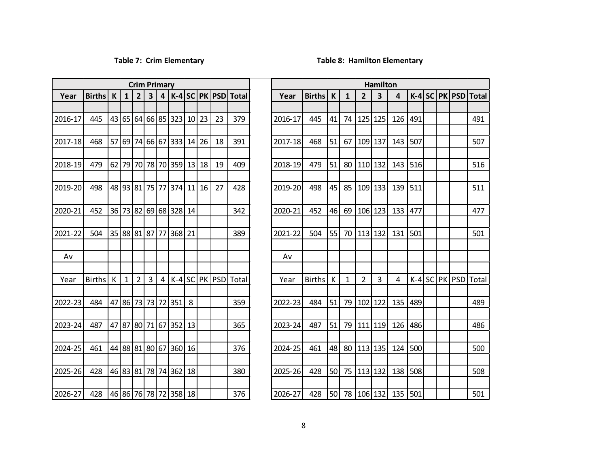### **Table 7: Crim Elementary Table 8: Hamilton Elementary**

|         |               |    |                |                |    | <b>Crim Primary</b>     |       |           |           |            |              |       |
|---------|---------------|----|----------------|----------------|----|-------------------------|-------|-----------|-----------|------------|--------------|-------|
| Year    | <b>Births</b> | K  | $\mathbf{1}$   | $\overline{2}$ | 3  | $\overline{\mathbf{4}}$ | $K-4$ | <b>SC</b> | <b>PK</b> | <b>PSD</b> | <b>Total</b> | Yea   |
| 2016-17 | 445           | 43 | 65             | 64             | 66 | 85                      | 323   | 10        | 23        | 23         | 379          | 2016- |
| 2017-18 | 468           | 57 | 69             | 74             | 66 | 67                      | 333   | 14        | 26        | 18         | 391          | 2017- |
| 2018-19 | 479           | 62 | 79             | 70             | 78 | 70                      | 359   | 13        | 18        | 19         | 409          | 2018- |
| 2019-20 | 498           | 48 | 93             | 81             | 75 | 77                      | 374   | 11        | 16        | 27         | 428          | 2019- |
| 2020-21 | 452           | 36 | 73             | 82             | 69 | 68                      | 328   | 14        |           |            | 342          | 2020- |
| 2021-22 | 504           | 35 | 88             | 81             | 87 | 77                      | 368   | 21        |           |            | 389          | 2021- |
| Av      |               |    |                |                |    |                         |       |           |           |            |              | Av    |
| Year    | <b>Births</b> | K  | $\overline{1}$ | $\overline{2}$ | 3  | 4                       | $K-4$ | SC        | PK        | <b>PSD</b> | Total        | Yea   |
| 2022-23 | 484           | 47 | 86             | 73             | 73 | 72                      | 351   | 8         |           |            | 359          | 2022- |
| 2023-24 | 487           | 47 | 87             | 80             | 71 | 67                      | 352   | 13        |           |            | 365          | 2023- |
| 2024-25 | 461           | 44 | 88             | 81             | 80 | 67                      | 360   | 16        |           |            | 376          | 2024- |
| 2025-26 | 428           | 46 | 83             | 81             | 78 | 74                      | 362   | 18        |           |            | 380          | 2025- |
| 2026-27 | 428           |    | 46 86 76 78 72 |                |    |                         | 358   | 18        |           |            | 376          | 2026- |

|         |                           |             |              | <b>Crim Primary</b> |                |   |                          |    |    |           |                                   |         |               |             |              |                | Hamilton       |                       |                 |  |           |  |
|---------|---------------------------|-------------|--------------|---------------------|----------------|---|--------------------------|----|----|-----------|-----------------------------------|---------|---------------|-------------|--------------|----------------|----------------|-----------------------|-----------------|--|-----------|--|
| Year    | <b>Births</b>             | $\mathsf K$ | $\mathbf{1}$ | $\overline{2}$      | 3              |   |                          |    |    |           | $4$   K-4   SC   PK   PSD   Total | Year    | <b>Births</b> | $\mathbf k$ | $\mathbf{1}$ | $\overline{2}$ | 3              | 4                     | $K-4$ SC PK PSD |  |           |  |
|         |                           |             |              |                     |                |   |                          |    |    |           |                                   |         |               |             |              |                |                |                       |                 |  |           |  |
| 2016-17 | 445                       |             |              |                     |                |   | 43 65 64 66 85 323 10    |    | 23 | 23        | 379                               | 2016-17 | 445           | 41          | 74           |                | 125 125        | 126                   | 491             |  |           |  |
|         |                           |             |              |                     |                |   |                          |    |    |           |                                   |         |               |             |              |                |                |                       |                 |  |           |  |
| 2017-18 | 468                       |             |              |                     |                |   | 57 69 74 66 67 333       | 14 | 26 | 18        | 391                               | 2017-18 | 468           | 51          | 67           | 109 137        |                | 143                   | 507             |  |           |  |
| 2018-19 | 479                       |             |              |                     |                |   | 62 79 70 78 70 359 13 18 |    |    | 19        | 409                               | 2018-19 | 479           | 51          | 80           | 110 132        |                | 143                   | 516             |  |           |  |
|         |                           |             |              |                     |                |   |                          |    |    |           |                                   |         |               |             |              |                |                |                       |                 |  |           |  |
| 2019-20 | 498                       |             |              |                     |                |   | 48 93 81 75 77 374       | 11 | 16 | 27        | 428                               | 2019-20 | 498           | 45          | 85           |                | 109 133        | 139                   | 511             |  |           |  |
|         |                           |             |              |                     |                |   |                          |    |    |           |                                   |         |               |             |              |                |                |                       |                 |  |           |  |
| 2020-21 | 452                       |             |              |                     |                |   | 36 73 82 69 68 328 14    |    |    |           | 342                               | 2020-21 | 452           | 46          | 69           |                | $106$   123    | 133                   | 477             |  |           |  |
| 2021-22 | 504                       |             |              |                     |                |   | 35 88 81 87 77 368 21    |    |    |           | 389                               | 2021-22 | 504           | 55          |              |                | 70   113   132 | 131 501               |                 |  |           |  |
|         |                           |             |              |                     |                |   |                          |    |    |           |                                   |         |               |             |              |                |                |                       |                 |  |           |  |
| Av      |                           |             |              |                     |                |   |                          |    |    |           |                                   | Av      |               |             |              |                |                |                       |                 |  |           |  |
|         |                           |             |              |                     |                |   |                          |    |    |           |                                   |         |               |             |              |                |                |                       |                 |  |           |  |
| Year    | <b>Births</b>             | K           | $\mathbf{1}$ | $\overline{2}$      | $\overline{3}$ | 4 | $K-4$                    |    |    | SC PK PSD | Total                             | Year    | <b>Births</b> | K           | $\mathbf{1}$ | $\overline{2}$ | 3              | 4                     | $K-4$           |  | SC PK PSD |  |
|         |                           |             |              |                     |                |   |                          |    |    |           |                                   |         |               |             |              |                |                |                       |                 |  |           |  |
| 2022-23 | 484                       |             |              |                     |                |   | 47 86 73 73 72 351       | 8  |    |           | 359                               | 2022-23 | 484           | 51          | 79           |                | $102$   122    | 135                   | 489             |  |           |  |
| 2023-24 | 487                       |             |              |                     |                |   | 47 87 80 71 67 352       | 13 |    |           | 365                               | 2023-24 | 487           | 51          | 79           | $111$ 119      |                | 126                   | 486             |  |           |  |
|         |                           |             |              |                     |                |   |                          |    |    |           |                                   |         |               |             |              |                |                |                       |                 |  |           |  |
| 2024-25 | 461                       |             |              |                     |                |   | 44 88 81 80 67 360       | 16 |    |           | 376                               | 2024-25 | 461           | 48          | 80           |                | 113 135        | 124                   | 500             |  |           |  |
|         |                           |             |              |                     |                |   |                          |    |    |           |                                   |         |               |             |              |                |                |                       |                 |  |           |  |
| 2025-26 | 428                       |             |              |                     |                |   | 46 83 81 78 74 362 18    |    |    |           | 380                               | 2025-26 | 428           | 50          |              | 75   113   132 |                | 138 508               |                 |  |           |  |
|         |                           |             |              |                     |                |   |                          |    |    |           |                                   |         |               |             |              |                |                |                       |                 |  |           |  |
| 2026-27 | 428 46 86 76 78 72 358 18 |             |              |                     |                |   |                          |    |    |           | 376                               | 2026-27 | 428           |             |              |                |                | 50 78 106 132 135 501 |                 |  |           |  |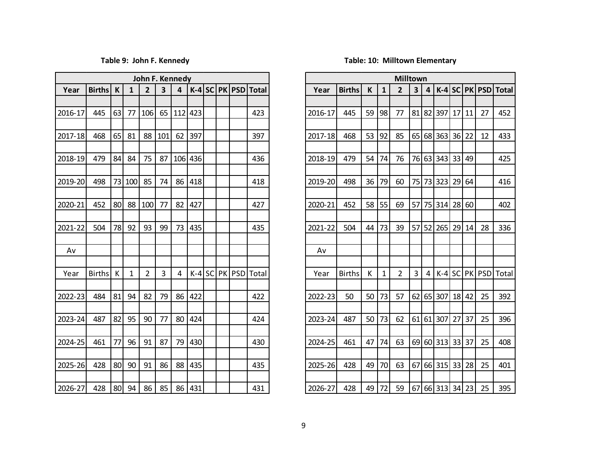|         |            |    |              | John F. Kennedy |                         |    |         |  |                       |
|---------|------------|----|--------------|-----------------|-------------------------|----|---------|--|-----------------------|
| Year    | Births   K |    | $\mathbf{1}$ | $\overline{2}$  | $\overline{\mathbf{3}}$ | 4  |         |  | $K-4$ SC PK PSD Total |
|         |            |    |              |                 |                         |    |         |  |                       |
| 2016-17 | 445        | 63 | 77           | 106             | 65                      |    | 112 423 |  | 423                   |
|         |            |    |              |                 |                         |    |         |  |                       |
| 2017-18 | 468        | 65 | 81           | 88              | 101                     | 62 | 397     |  | 397                   |
| 2018-19 | 479        | 84 | 84           | 75              | 87                      |    | 106 436 |  | 436                   |
|         |            |    |              |                 |                         |    |         |  |                       |
| 2019-20 | 498        |    | 73 100       | 85              | 74                      | 86 | 418     |  | 418                   |
|         |            |    |              |                 |                         |    |         |  |                       |
| 2020-21 | 452        | 80 |              | 88 100          | 77                      | 82 | 427     |  | 427                   |
| 2021-22 | 504        | 78 | 92           | 93              | 99                      | 73 | 435     |  | 435                   |
|         |            |    |              |                 |                         |    |         |  |                       |
| Av      |            |    |              |                 |                         |    |         |  |                       |
|         |            |    |              |                 |                         |    |         |  |                       |
| Year    | Births     | К  | $\mathbf{1}$ | $\overline{2}$  | 3                       | 4  |         |  | $K-4$ SC PK PSD Total |
|         |            |    |              |                 |                         |    |         |  |                       |
| 2022-23 | 484        | 81 | 94           | 82              | 79                      | 86 | 422     |  | 422                   |
| 2023-24 | 487        | 82 | 95           | 90              | 77                      | 80 | 424     |  | 424                   |
|         |            |    |              |                 |                         |    |         |  |                       |
| 2024-25 | 461        | 77 | 96           | 91              | 87                      | 79 | 430     |  | 430                   |
|         |            |    |              |                 |                         |    |         |  |                       |
| 2025-26 | 428        | 80 | 90           | 91              | 86                      | 88 | 435     |  | 435                   |
|         |            |    |              |                 |                         |    |         |  |                       |
| 2026-27 | 428        |    | $ 80 $ 94    | 86              | 85                      |    | 86 431  |  | 431                   |

### **Table 9: John F. Kennedy Table: 10: Milltown Elementary**

|            |            |                 |              | John F. Kennedy |     |                |         |  |                       |             |               |    |              | <b>Milltown</b> |                         |        |                    |       |       |                       |     |
|------------|------------|-----------------|--------------|-----------------|-----|----------------|---------|--|-----------------------|-------------|---------------|----|--------------|-----------------|-------------------------|--------|--------------------|-------|-------|-----------------------|-----|
| Year       | Births $K$ |                 | $\mathbf{1}$ | $\mathbf{2}$    | 3   | $\overline{4}$ |         |  | $K-4$ SC PK PSD Total | Year        | <b>Births</b> | K  | 1            | $\mathbf{2}$    | $\overline{\mathbf{3}}$ | $\sim$ |                    |       |       | $K-4$ SC PK PSD Total |     |
|            |            |                 |              |                 |     |                |         |  |                       |             |               |    |              |                 |                         |        |                    |       |       |                       |     |
| 016-17     | 445        | 63              | 77           | 106             | 65  | 112            | 423     |  | 423                   | 2016-17     | 445           | 59 | 98           | 77              |                         | 81 82  | 397                | 17    | 11    | 27                    | 452 |
|            |            |                 |              |                 |     |                |         |  |                       |             |               |    |              |                 |                         |        |                    |       |       |                       |     |
| 017-18     | 468        | 65              | 81           | 88              | 101 | 62             | 397     |  | 397                   | 2017-18     | 468           | 53 | 92           | 85              |                         |        | 65 68 363          | 36    | 22    | 12                    | 433 |
| 018-19     | 479        | 84              | 84           | 75              | 87  |                | 106 436 |  | 436                   | 2018-19     | 479           | 54 | 74           | 76              |                         |        | 76 63 343 33 49    |       |       |                       | 425 |
|            |            |                 |              |                 |     |                |         |  |                       |             |               |    |              |                 |                         |        |                    |       |       |                       |     |
| $[19-20]$  | 498        |                 | 73 100       | 85              | 74  | 86             | 418     |  | 418                   | 2019-20     | 498           | 36 | 79           | 60              |                         |        | 75 73 323 29       |       | 64    |                       | 416 |
|            |            |                 |              |                 |     |                |         |  |                       |             |               |    |              |                 |                         |        |                    |       |       |                       |     |
| 020-21     | 452        | 80 <sup>2</sup> | 88           | 100             | 77  | 82             | 427     |  | 427                   | 2020-21     | 452           | 58 | 55           | 69              | 57                      |        | 75 314             | 28    | 60    |                       | 402 |
|            |            |                 |              |                 |     |                |         |  |                       |             |               |    |              |                 |                         |        |                    |       |       |                       |     |
| 021-22     | 504        | 78              | 92           | 93              | 99  | 73             | 435     |  | 435                   | 2021-22     | 504           | 44 | 73           | 39              | 57                      |        | 52 265             |       | 29 14 | 28                    | 336 |
|            |            |                 |              |                 |     |                |         |  |                       |             |               |    |              |                 |                         |        |                    |       |       |                       |     |
| Av         |            |                 |              |                 |     |                |         |  |                       | Av          |               |    |              |                 |                         |        |                    |       |       |                       |     |
| Year       | Births     | K               | $\mathbf{1}$ | $\overline{2}$  | 3   | 4              |         |  | $K-4$ SC PK PSD Total | Year        | <b>Births</b> | K  | $\mathbf{1}$ | $2^{\circ}$     | $\overline{3}$          | 4      |                    |       |       | $K-4$ SC PK PSD Total |     |
|            |            |                 |              |                 |     |                |         |  |                       |             |               |    |              |                 |                         |        |                    |       |       |                       |     |
| 022-23     | 484        | 81              | 94           | 82              | 79  | 86             | 422     |  | 422                   | 2022-23     | 50            | 50 | 73           | 57              | 62                      |        | 65 307             | 18    | 42    | 25                    | 392 |
|            |            |                 |              |                 |     |                |         |  |                       |             |               |    |              |                 |                         |        |                    |       |       |                       |     |
| $223 - 24$ | 487        | 82              | 95           | 90              | 77  | 80             | 424     |  | 424                   | 2023-24     | 487           | 50 | 73           | 62              |                         |        | 61 61 307          | 27    | 37    | 25                    | 396 |
|            |            |                 |              |                 |     |                |         |  |                       |             |               |    |              |                 |                         |        |                    |       |       |                       |     |
| 024-25     | 461        | 77              | 96           | 91              | 87  | 79             | 430     |  | 430                   | 2024-25     | 461           | 47 | 74           | 63              |                         |        | 69 60 313          | 33 37 |       | 25                    | 408 |
| $25 - 26$  | 428        | 80              | 90           | 91              | 86  | 88             | 435     |  | 435                   | 2025-26     | 428           | 49 | 70           | 63              | 67                      |        | 66 315 33          |       | 28    | 25                    | 401 |
|            |            |                 |              |                 |     |                |         |  |                       |             |               |    |              |                 |                         |        |                    |       |       |                       |     |
| $26-27$    | 428 80 94  |                 |              | 86              | 85  |                | 86 431  |  | 431                   | $2026 - 27$ | 428           |    | 49 72        |                 |                         |        | 59 67 66 313 34 23 |       |       | 25                    | 395 |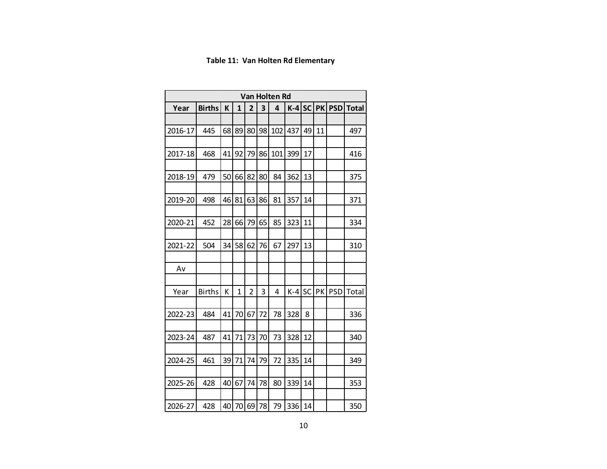### **Table 11: Van Holten Rd Elementary**

|         |               |    |          |                |    | Van Holten Rd |       |           |           |            |              |
|---------|---------------|----|----------|----------------|----|---------------|-------|-----------|-----------|------------|--------------|
| Year    | <b>Births</b> | K  | 1        | $\overline{2}$ | 3  | 4             | $K-4$ | <b>SC</b> | <b>PK</b> | <b>PSD</b> | <b>Total</b> |
|         |               |    |          |                |    |               |       |           |           |            |              |
| 2016-17 | 445           | 68 | 89       | 80             | 98 | 102           | 437   | 49        | 11        |            | 497          |
|         |               |    |          |                |    |               |       |           |           |            |              |
| 2017-18 | 468           | 41 | 92       | 79             | 86 | 101           | 399   | 17        |           |            | 416          |
|         |               |    |          |                |    |               |       |           |           |            |              |
| 2018-19 | 479           | 50 | 66       | 82             | 80 | 84            | 362   | 13        |           |            | 375          |
|         |               |    |          |                |    |               |       |           |           |            |              |
| 2019-20 | 498           | 46 | 81       | 63             | 86 | 81            | 357   | 14        |           |            | 371          |
| 2020-21 | 452           | 28 | 66       | 79             | 65 | 85            | 323   | 11        |           |            | 334          |
|         |               |    |          |                |    |               |       |           |           |            |              |
| 2021-22 | 504           | 34 | 58       | 62             | 76 | 67            | 297   | 13        |           |            | 310          |
|         |               |    |          |                |    |               |       |           |           |            |              |
| Av      |               |    |          |                |    |               |       |           |           |            |              |
|         |               |    |          |                |    |               |       |           |           |            |              |
| Year    | <b>Births</b> | К  | 1        | $\overline{2}$ | 3  | 4             | K-4   | <b>SC</b> | PK        | <b>PSD</b> | Total        |
|         |               |    |          |                |    |               |       |           |           |            |              |
| 2022-23 | 484           | 41 | 70       | 67             | 72 | 78            | 328   | 8         |           |            | 336          |
|         |               |    |          |                |    |               |       |           |           |            |              |
| 2023-24 | 487           | 41 | 71       | 73             | 70 | 73            | 328   | 12        |           |            | 340          |
|         |               |    |          |                |    |               |       |           |           |            |              |
| 2024-25 | 461           | 39 | 71       | 74             | 79 | 72            | 335   | 14        |           |            | 349          |
| 2025-26 | 428           | 40 | 67       | 74             | 78 | 80            | 339   | 14        |           |            | 353          |
|         |               |    |          |                |    |               |       |           |           |            |              |
| 2026-27 | 428           |    | 40 70 69 |                | 78 | 79            | 336   | 14        |           |            | 350          |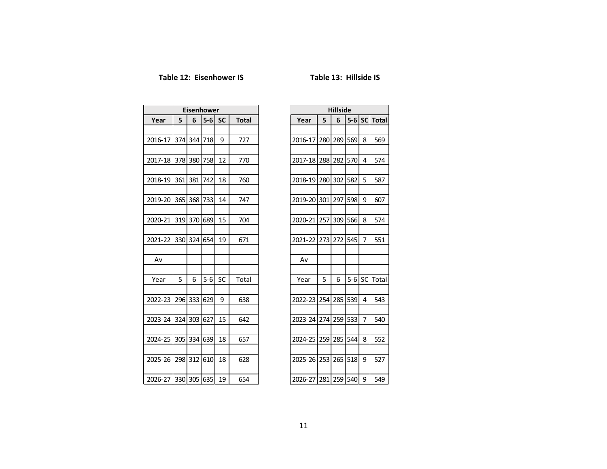### Table 12: Eisenhower IS Table 13: Hillside IS

|         |     |             | Eisenhower |           |              |
|---------|-----|-------------|------------|-----------|--------------|
| Year    | 5   | 6           | $5-6$      | <b>SC</b> | <b>Total</b> |
|         |     |             |            |           |              |
| 2016-17 |     | 374 344     | 718        | 9         | 727          |
|         |     |             |            |           |              |
| 2017-18 | 378 | 380         | 758        | 12        | 770          |
| 2018-19 | 361 | 381         | 742        | 18        | 760          |
|         |     |             |            |           |              |
| 2019-20 | 365 | 368         | 733        | 14        | 747          |
|         |     |             |            |           |              |
| 2020-21 |     | 319 370     | 689        | 15        | 704          |
|         |     |             |            |           |              |
| 2021-22 | 330 | 324         | 654        | 19        | 671          |
| Av      |     |             |            |           |              |
|         |     |             |            |           |              |
| Year    | 5   | 6           | $5-6$      | SC        | Total        |
|         |     |             |            |           |              |
| 2022-23 | 296 | 333         | 629        | 9         | 638          |
|         |     |             |            |           |              |
| 2023-24 | 324 | 303         | 627        | 15        | 642          |
| 2024-25 | 305 | 334         | 639        | 18        | 657          |
|         |     |             |            |           |              |
| 2025-26 | 298 | 312         | 610        | 18        | 628          |
|         |     |             |            |           |              |
| 2026-27 |     | 330 305 635 |            | 19        | 654          |

| 5       | 6                                           |                                      |                                                                               |                                                                         |
|---------|---------------------------------------------|--------------------------------------|-------------------------------------------------------------------------------|-------------------------------------------------------------------------|
|         |                                             |                                      |                                                                               |                                                                         |
| 280     | 289                                         | 569                                  | 8                                                                             | 569                                                                     |
|         |                                             |                                      |                                                                               |                                                                         |
| 288     | 282                                         |                                      | 4                                                                             | 574                                                                     |
|         |                                             |                                      |                                                                               |                                                                         |
| 280     | 302                                         | 582                                  | 5                                                                             | 587                                                                     |
|         |                                             |                                      |                                                                               |                                                                         |
| 301     | 297                                         | 598                                  | 9                                                                             | 607                                                                     |
|         |                                             |                                      |                                                                               |                                                                         |
|         |                                             |                                      |                                                                               | 574                                                                     |
|         |                                             |                                      |                                                                               |                                                                         |
|         |                                             |                                      |                                                                               | 551                                                                     |
|         |                                             |                                      |                                                                               |                                                                         |
|         |                                             |                                      |                                                                               |                                                                         |
|         |                                             |                                      |                                                                               |                                                                         |
|         |                                             |                                      |                                                                               | Total                                                                   |
|         |                                             |                                      |                                                                               |                                                                         |
|         |                                             |                                      |                                                                               | 543                                                                     |
|         |                                             |                                      |                                                                               | 540                                                                     |
|         |                                             |                                      |                                                                               |                                                                         |
|         |                                             |                                      |                                                                               | 552                                                                     |
|         |                                             |                                      |                                                                               |                                                                         |
| 2025-26 |                                             |                                      |                                                                               | 527                                                                     |
|         |                                             |                                      |                                                                               |                                                                         |
|         |                                             |                                      | 9                                                                             | 549                                                                     |
|         | 257<br>273<br>5<br>254<br>274<br>259<br>253 | 309<br>272<br>6<br>285<br>259<br>285 | <b>Hillside</b><br>570<br>566<br>545<br>$5-6$<br>539<br>533<br>544<br>265 518 | 5-6 SC Total<br>8<br>7<br>SC<br>4<br>7<br>8<br>9<br>2026-27 281 259 540 |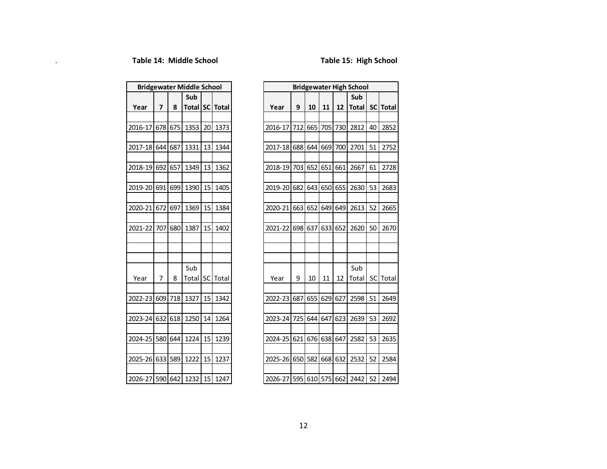|         |     |     | <b>Bridgewater Middle School</b> |    |          |
|---------|-----|-----|----------------------------------|----|----------|
|         |     |     | Sub                              |    |          |
| Year    | 7   | 8   | Total                            |    | SC Total |
|         |     |     |                                  |    |          |
| 2016-17 | 678 | 675 | 1353                             | 20 | 1373     |
|         |     |     |                                  |    |          |
| 2017-18 | 644 | 687 | 1331                             | 13 | 1344     |
|         |     |     |                                  |    |          |
| 2018-19 | 692 | 657 | 1349                             | 13 | 1362     |
|         |     |     |                                  |    |          |
| 2019-20 | 691 | 699 | 1390                             | 15 | 1405     |
|         |     |     |                                  |    |          |
| 2020-21 | 672 | 697 | 1369                             | 15 | 1384     |
|         |     |     |                                  |    |          |
| 2021-22 | 707 | 680 | 1387                             | 15 | 1402     |
|         |     |     |                                  |    |          |
|         |     |     |                                  |    |          |
|         |     |     |                                  |    |          |
|         | 7   | 8   | Sub                              | SC |          |
| Year    |     |     | Total                            |    | Total    |
| 2022-23 | 609 | 718 | 1327                             | 15 | 1342     |
|         |     |     |                                  |    |          |
| 2023-24 | 632 | 618 | 1250                             | 14 | 1264     |
|         |     |     |                                  |    |          |
| 2024-25 | 580 | 644 | 1224                             | 15 | 1239     |
|         |     |     |                                  |    |          |
| 2025-26 | 633 | 589 | 1222                             | 15 | 1237     |
|         |     |     |                                  |    |          |
| 2026-27 | 590 | 642 | 1232                             | 15 | 1247     |

| <b>Bridgewater Middle School</b> |                         |         |       |           |                    |
|----------------------------------|-------------------------|---------|-------|-----------|--------------------|
|                                  |                         |         | Sub   |           |                    |
| Year                             | $\overline{\mathbf{z}}$ | 8       |       |           | Total   SC   Total |
|                                  |                         |         |       |           |                    |
| 2016-17                          |                         | 678 675 | 1353  | 20        | 1373               |
|                                  |                         |         |       |           |                    |
| 2017-18                          |                         | 644 687 | 1331  | 13        | 1344               |
| 2018-19 692                      |                         | 657     | 1349  | 13        | 1362               |
|                                  |                         |         |       |           |                    |
| 2019-20                          | 691                     | 699     | 1390  | 15        | 1405               |
|                                  |                         |         |       |           |                    |
| 2020-21                          |                         | 672 697 | 1369  | 15        | 1384               |
|                                  |                         |         |       |           |                    |
| 2021-22                          |                         | 707 680 | 1387  | 15        | 1402               |
|                                  |                         |         |       |           |                    |
|                                  |                         |         |       |           |                    |
|                                  |                         |         | Sub   |           |                    |
| Year                             | 7                       | 8       | Total | <b>SC</b> | Total              |
|                                  |                         |         |       |           |                    |
| 2022-231                         |                         | 609 718 | 1327  | 15        | 1342               |
|                                  |                         |         |       |           |                    |
| 2023-24                          |                         | 632 618 | 1250  | 14        | 1264               |
|                                  |                         |         |       |           |                    |
| 2024-25 580 644                  |                         |         | 1224  | 15        | 1239               |
|                                  |                         |         |       |           |                    |
| 2025-26 633 589                  |                         |         | 1222  | 15        | 1237               |
| 2026-27 590 642 1232             |                         |         |       | 15        | 1247               |
|                                  |                         |         |       |           |                    |